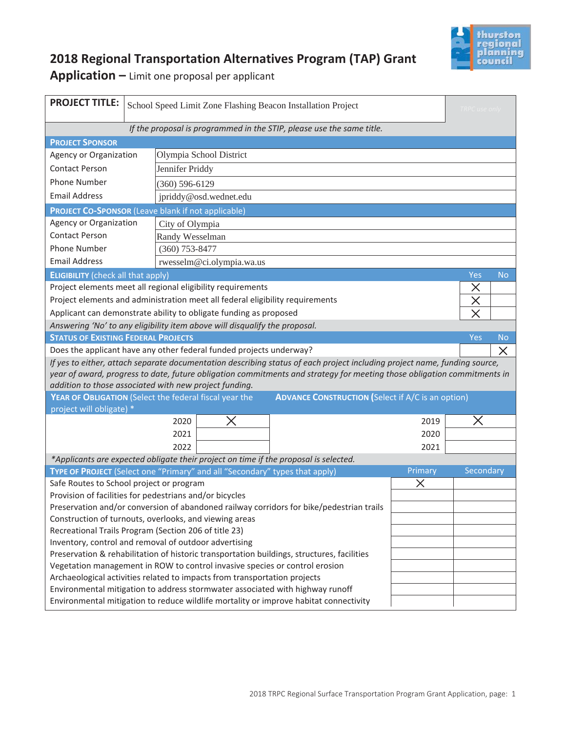

## **2018 Regional Transportation Alternatives Program (TAP) Grant**

**Application –** Limit one proposal per applicant

| <b>PROJECT TITLE:</b>                                                                                                                                                        | School Speed Limit Zone Flashing Beacon Installation Project<br>TRPC use only                                           |                         |                           |                                                                                                                           |         |           |           |  |
|------------------------------------------------------------------------------------------------------------------------------------------------------------------------------|-------------------------------------------------------------------------------------------------------------------------|-------------------------|---------------------------|---------------------------------------------------------------------------------------------------------------------------|---------|-----------|-----------|--|
| If the proposal is programmed in the STIP, please use the same title.                                                                                                        |                                                                                                                         |                         |                           |                                                                                                                           |         |           |           |  |
| <b>PROJECT SPONSOR</b>                                                                                                                                                       |                                                                                                                         |                         |                           |                                                                                                                           |         |           |           |  |
| Agency or Organization                                                                                                                                                       |                                                                                                                         | Olympia School District |                           |                                                                                                                           |         |           |           |  |
| <b>Contact Person</b>                                                                                                                                                        |                                                                                                                         | Jennifer Priddy         |                           |                                                                                                                           |         |           |           |  |
| <b>Phone Number</b>                                                                                                                                                          |                                                                                                                         | $(360) 596 - 6129$      |                           |                                                                                                                           |         |           |           |  |
| <b>Email Address</b>                                                                                                                                                         |                                                                                                                         | jpriddy@osd.wednet.edu  |                           |                                                                                                                           |         |           |           |  |
|                                                                                                                                                                              | <b>PROJECT CO-SPONSOR (Leave blank if not applicable)</b>                                                               |                         |                           |                                                                                                                           |         |           |           |  |
| Agency or Organization<br>City of Olympia                                                                                                                                    |                                                                                                                         |                         |                           |                                                                                                                           |         |           |           |  |
| <b>Contact Person</b>                                                                                                                                                        |                                                                                                                         | Randy Wesselman         |                           |                                                                                                                           |         |           |           |  |
| Phone Number                                                                                                                                                                 |                                                                                                                         |                         | $(360)$ 753-8477          |                                                                                                                           |         |           |           |  |
| <b>Email Address</b>                                                                                                                                                         |                                                                                                                         |                         | rwesselm@ci.olympia.wa.us |                                                                                                                           |         |           |           |  |
| <b>ELIGIBILITY</b> (check all that apply)                                                                                                                                    |                                                                                                                         |                         |                           |                                                                                                                           |         | Yes       | <b>No</b> |  |
| Project elements meet all regional eligibility requirements                                                                                                                  |                                                                                                                         |                         |                           |                                                                                                                           |         | X         |           |  |
| Project elements and administration meet all federal eligibility requirements                                                                                                |                                                                                                                         |                         |                           |                                                                                                                           |         | $\times$  |           |  |
| Applicant can demonstrate ability to obligate funding as proposed<br>$\times$                                                                                                |                                                                                                                         |                         |                           |                                                                                                                           |         |           |           |  |
| Answering 'No' to any eligibility item above will disqualify the proposal.                                                                                                   |                                                                                                                         |                         |                           |                                                                                                                           |         |           |           |  |
| <b>STATUS OF EXISTING FEDERAL PROJECTS</b>                                                                                                                                   |                                                                                                                         |                         |                           |                                                                                                                           |         | Yes       | <b>No</b> |  |
| Does the applicant have any other federal funded projects underway?                                                                                                          |                                                                                                                         |                         |                           |                                                                                                                           |         |           | $\times$  |  |
|                                                                                                                                                                              |                                                                                                                         |                         |                           | If yes to either, attach separate documentation describing status of each project including project name, funding source, |         |           |           |  |
|                                                                                                                                                                              | year of award, progress to date, future obligation commitments and strategy for meeting those obligation commitments in |                         |                           |                                                                                                                           |         |           |           |  |
| addition to those associated with new project funding.<br>YEAR OF OBLIGATION (Select the federal fiscal year the<br><b>ADVANCE CONSTRUCTION (Select if A/C is an option)</b> |                                                                                                                         |                         |                           |                                                                                                                           |         |           |           |  |
| project will obligate) *                                                                                                                                                     |                                                                                                                         |                         |                           |                                                                                                                           |         |           |           |  |
|                                                                                                                                                                              |                                                                                                                         | 2020                    |                           |                                                                                                                           | 2019    |           |           |  |
|                                                                                                                                                                              |                                                                                                                         | 2021<br>2020            |                           |                                                                                                                           |         |           |           |  |
|                                                                                                                                                                              |                                                                                                                         | 2022                    |                           | 2021                                                                                                                      |         |           |           |  |
| *Applicants are expected obligate their project on time if the proposal is selected.                                                                                         |                                                                                                                         |                         |                           |                                                                                                                           |         |           |           |  |
| TYPE OF PROJECT (Select one "Primary" and all "Secondary" types that apply)                                                                                                  |                                                                                                                         |                         |                           |                                                                                                                           | Primary | Secondary |           |  |
| Safe Routes to School project or program                                                                                                                                     |                                                                                                                         |                         |                           | X                                                                                                                         |         |           |           |  |
| Provision of facilities for pedestrians and/or bicycles                                                                                                                      |                                                                                                                         |                         |                           |                                                                                                                           |         |           |           |  |
| Preservation and/or conversion of abandoned railway corridors for bike/pedestrian trails                                                                                     |                                                                                                                         |                         |                           |                                                                                                                           |         |           |           |  |
| Construction of turnouts, overlooks, and viewing areas                                                                                                                       |                                                                                                                         |                         |                           |                                                                                                                           |         |           |           |  |
| Recreational Trails Program (Section 206 of title 23)                                                                                                                        |                                                                                                                         |                         |                           |                                                                                                                           |         |           |           |  |
| Inventory, control and removal of outdoor advertising<br>Preservation & rehabilitation of historic transportation buildings, structures, facilities                          |                                                                                                                         |                         |                           |                                                                                                                           |         |           |           |  |
| Vegetation management in ROW to control invasive species or control erosion                                                                                                  |                                                                                                                         |                         |                           |                                                                                                                           |         |           |           |  |
| Archaeological activities related to impacts from transportation projects                                                                                                    |                                                                                                                         |                         |                           |                                                                                                                           |         |           |           |  |
| Environmental mitigation to address stormwater associated with highway runoff                                                                                                |                                                                                                                         |                         |                           |                                                                                                                           |         |           |           |  |
| Environmental mitigation to reduce wildlife mortality or improve habitat connectivity                                                                                        |                                                                                                                         |                         |                           |                                                                                                                           |         |           |           |  |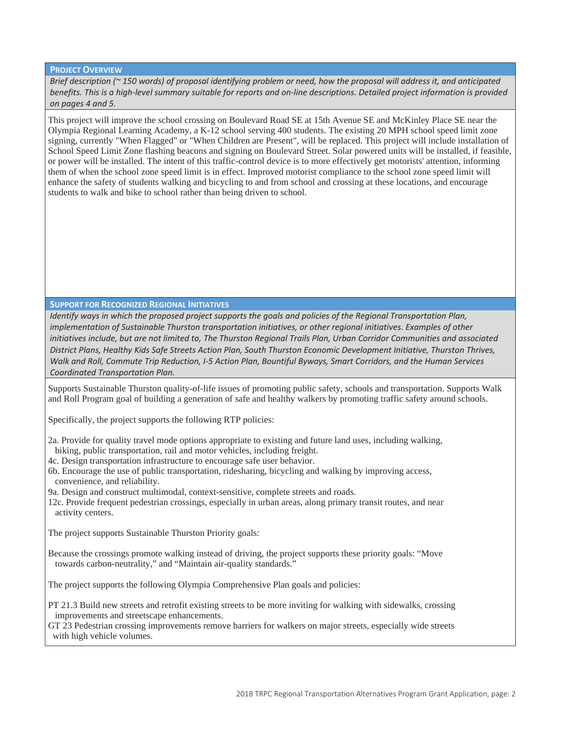**PROJECT OVERVIEW**

*Brief description (~ 150 words) of proposal identifying problem or need, how the proposal will address it, and anticipated benefits. This is a high-level summary suitable for reports and on-line descriptions. Detailed project information is provided on pages 4 and 5.*

This project will improve the school crossing on Boulevard Road SE at 15th Avenue SE and McKinley Place SE near the Olympia Regional Learning Academy, a K-12 school serving 400 students. The existing 20 MPH school speed limit zone signing, currently "When Flagged" or "When Children are Present", will be replaced. This project will include installation of School Speed Limit Zone flashing beacons and signing on Boulevard Street. Solar powered units will be installed, if feasible, or power will be installed. The intent of this traffic-control device is to more effectively get motorists' attention, informing them of when the school zone speed limit is in effect. Improved motorist compliance to the school zone speed limit will enhance the safety of students walking and bicycling to and from school and crossing at these locations, and encourage students to walk and bike to school rather than being driven to school.

#### **SUPPORT FOR RECOGNIZED REGIONAL INITIATIVES**

*Identify ways in which the proposed project supports the goals and policies of the Regional Transportation Plan, implementation of Sustainable Thurston transportation initiatives, or other regional initiatives. Examples of other initiatives include, but are not limited to, The Thurston Regional Trails Plan, Urban Corridor Communities and associated District Plans, Healthy Kids Safe Streets Action Plan, South Thurston Economic Development Initiative, Thurston Thrives, Walk and Roll, Commute Trip Reduction, I-5 Action Plan, Bountiful Byways, Smart Corridors, and the Human Services Coordinated Transportation Plan.* 

Supports Sustainable Thurston quality-of-life issues of promoting public safety, schools and transportation. Supports Walk and Roll Program goal of building a generation of safe and healthy walkers by promoting traffic safety around schools.

Specifically, the project supports the following RTP policies:

- 2a. Provide for quality travel mode options appropriate to existing and future land uses, including walking,
- biking, public transportation, rail and motor vehicles, including freight.
- 4c. Design transportation infrastructure to encourage safe user behavior.
- 6b. Encourage the use of public transportation, ridesharing, bicycling and walking by improving access, convenience, and reliability.
- 9a. Design and construct multimodal, context-sensitive, complete streets and roads.
- 12c. Provide frequent pedestrian crossings, especially in urban areas, along primary transit routes, and near activity centers.

The project supports Sustainable Thurston Priority goals:

Because the crossings promote walking instead of driving, the project supports these priority goals: "Move towards carbon-neutrality," and "Maintain air-quality standards."

The project supports the following Olympia Comprehensive Plan goals and policies:

PT 21.3 Build new streets and retrofit existing streets to be more inviting for walking with sidewalks, crossing improvements and streetscape enhancements.

GT 23 Pedestrian crossing improvements remove barriers for walkers on major streets, especially wide streets with high vehicle volumes.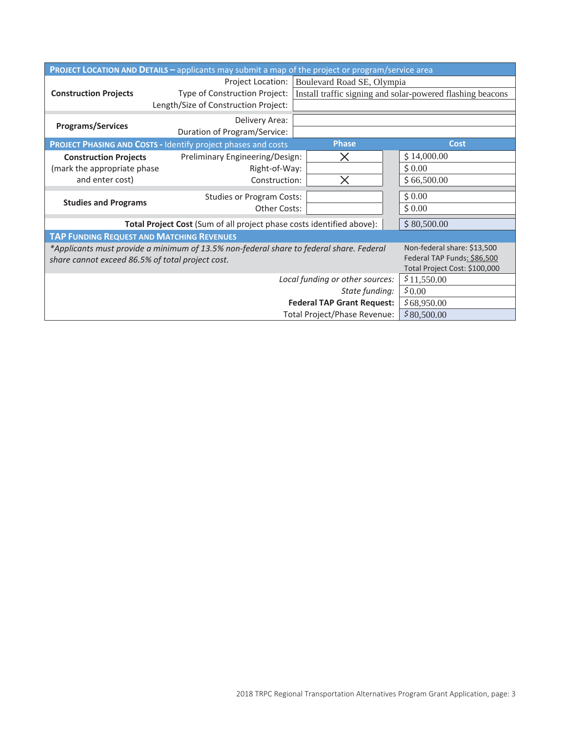| <b>PROJECT LOCATION AND DETAILS - applicants may submit a map of the project or program/service area</b>                                                                                                                                   |                                                                                            |                                                                                          |                                      |  |  |
|--------------------------------------------------------------------------------------------------------------------------------------------------------------------------------------------------------------------------------------------|--------------------------------------------------------------------------------------------|------------------------------------------------------------------------------------------|--------------------------------------|--|--|
| <b>Construction Projects</b>                                                                                                                                                                                                               | Project Location:<br>Type of Construction Project:<br>Length/Size of Construction Project: | Boulevard Road SE, Olympia<br>Install traffic signing and solar-powered flashing beacons |                                      |  |  |
| <b>Programs/Services</b>                                                                                                                                                                                                                   | Delivery Area:<br>Duration of Program/Service:                                             |                                                                                          |                                      |  |  |
| <b>PROJECT PHASING AND COSTS - Identify project phases and costs</b>                                                                                                                                                                       | <b>Cost</b>                                                                                |                                                                                          |                                      |  |  |
| <b>Construction Projects</b><br>(mark the appropriate phase<br>and enter cost)                                                                                                                                                             | Preliminary Engineering/Design:<br>Right-of-Way:<br>Construction:                          | X<br>$\times$                                                                            | \$14,000.00<br>\$0.00<br>\$66,500.00 |  |  |
| <b>Studies and Programs</b>                                                                                                                                                                                                                | <b>Studies or Program Costs:</b><br><b>Other Costs:</b>                                    |                                                                                          | \$0.00<br>\$0.00                     |  |  |
|                                                                                                                                                                                                                                            | Total Project Cost (Sum of all project phase costs identified above):                      | \$80,500.00                                                                              |                                      |  |  |
| <b>TAP FUNDING REQUEST AND MATCHING REVENUES</b>                                                                                                                                                                                           |                                                                                            |                                                                                          |                                      |  |  |
| Non-federal share: \$13,500<br>*Applicants must provide a minimum of 13.5% non-federal share to federal share. Federal<br>Federal TAP Funds: \$86,500<br>share cannot exceed 86.5% of total project cost.<br>Total Project Cost: \$100,000 |                                                                                            |                                                                                          |                                      |  |  |
| Local funding or other sources:                                                                                                                                                                                                            |                                                                                            |                                                                                          | \$11,550.00                          |  |  |
|                                                                                                                                                                                                                                            | \$0.00                                                                                     |                                                                                          |                                      |  |  |
|                                                                                                                                                                                                                                            | \$68,950.00                                                                                |                                                                                          |                                      |  |  |
|                                                                                                                                                                                                                                            | \$80,500.00                                                                                |                                                                                          |                                      |  |  |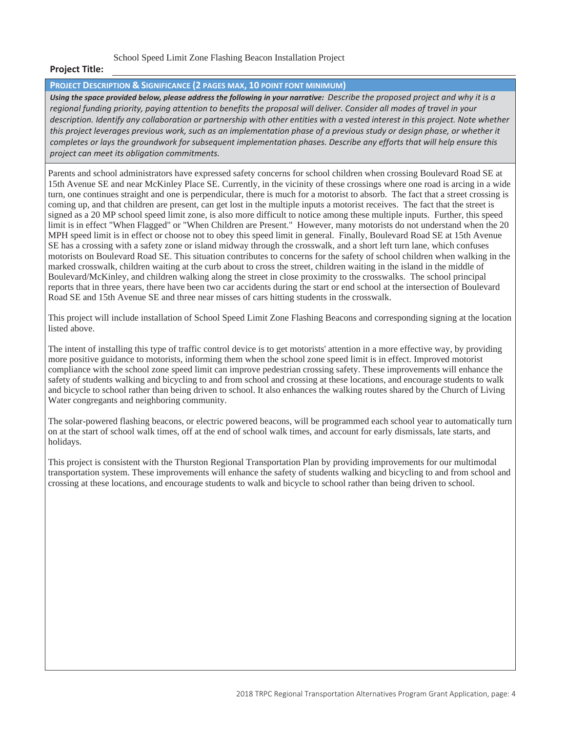School Speed Limit Zone Flashing Beacon Installation Project

### **Project Title:**

#### **PROJECT DESCRIPTION & SIGNIFICANCE (2 PAGES MAX, 10 POINT FONT MINIMUM)**

*Using the space provided below, please address the following in your narrative: Describe the proposed project and why it is a regional funding priority, paying attention to benefits the proposal will deliver. Consider all modes of travel in your description. Identify any collaboration or partnership with other entities with a vested interest in this project. Note whether this project leverages previous work, such as an implementation phase of a previous study or design phase, or whether it completes or lays the groundwork for subsequent implementation phases. Describe any efforts that will help ensure this project can meet its obligation commitments.*

Parents and school administrators have expressed safety concerns for school children when crossing Boulevard Road SE at 15th Avenue SE and near McKinley Place SE. Currently, in the vicinity of these crossings where one road is arcing in a wide turn, one continues straight and one is perpendicular, there is much for a motorist to absorb. The fact that a street crossing is coming up, and that children are present, can get lost in the multiple inputs a motorist receives. The fact that the street is signed as a 20 MP school speed limit zone, is also more difficult to notice among these multiple inputs. Further, this speed limit is in effect "When Flagged" or "When Children are Present." However, many motorists do not understand when the 20 MPH speed limit is in effect or choose not to obey this speed limit in general. Finally, Boulevard Road SE at 15th Avenue SE has a crossing with a safety zone or island midway through the crosswalk, and a short left turn lane, which confuses motorists on Boulevard Road SE. This situation contributes to concerns for the safety of school children when walking in the marked crosswalk, children waiting at the curb about to cross the street, children waiting in the island in the middle of Boulevard/McKinley, and children walking along the street in close proximity to the crosswalks. The school principal reports that in three years, there have been two car accidents during the start or end school at the intersection of Boulevard Road SE and 15th Avenue SE and three near misses of cars hitting students in the crosswalk.

This project will include installation of School Speed Limit Zone Flashing Beacons and corresponding signing at the location listed above.

The intent of installing this type of traffic control device is to get motorists' attention in a more effective way, by providing more positive guidance to motorists, informing them when the school zone speed limit is in effect. Improved motorist compliance with the school zone speed limit can improve pedestrian crossing safety. These improvements will enhance the safety of students walking and bicycling to and from school and crossing at these locations, and encourage students to walk and bicycle to school rather than being driven to school. It also enhances the walking routes shared by the Church of Living Water congregants and neighboring community.

The solar-powered flashing beacons, or electric powered beacons, will be programmed each school year to automatically turn on at the start of school walk times, off at the end of school walk times, and account for early dismissals, late starts, and holidays.

This project is consistent with the Thurston Regional Transportation Plan by providing improvements for our multimodal transportation system. These improvements will enhance the safety of students walking and bicycling to and from school and crossing at these locations, and encourage students to walk and bicycle to school rather than being driven to school.